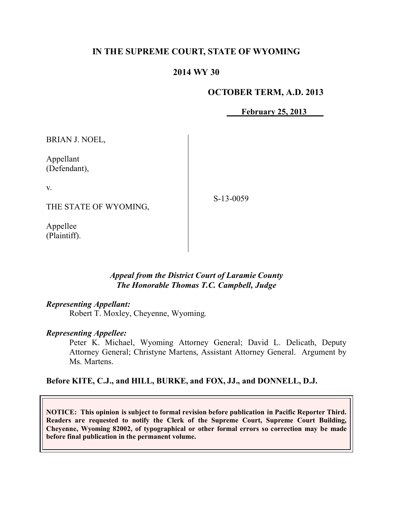### **IN THE SUPREME COURT, STATE OF WYOMING**

### **2014 WY 30**

#### **OCTOBER TERM, A.D. 2013**

**February 25, 2013** 

BRIAN J. NOEL,

Appellant (Defendant),

v.

THE STATE OF WYOMING,

S-13-0059

Appellee (Plaintiff).

#### *Appeal from the District Court of Laramie County The Honorable Thomas T.C. Campbell, Judge*

#### *Representing Appellant:*

Robert T. Moxley, Cheyenne, Wyoming.

#### *Representing Appellee:*

Peter K. Michael, Wyoming Attorney General; David L. Delicath, Deputy Attorney General; Christyne Martens, Assistant Attorney General. Argument by Ms. Martens.

#### **Before KITE, C.J., and HILL, BURKE, and FOX, JJ., and DONNELL, D.J.**

**NOTICE: This opinion is subject to formal revision before publication in Pacific Reporter Third. Readers are requested to notify the Clerk of the Supreme Court, Supreme Court Building, Cheyenne, Wyoming 82002, of typographical or other formal errors so correction may be made before final publication in the permanent volume.**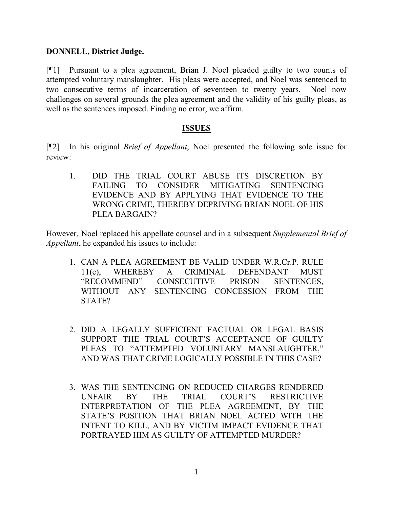#### **DONNELL, District Judge.**

[¶1] Pursuant to a plea agreement, Brian J. Noel pleaded guilty to two counts of attempted voluntary manslaughter. His pleas were accepted, and Noel was sentenced to two consecutive terms of incarceration of seventeen to twenty years. Noel now challenges on several grounds the plea agreement and the validity of his guilty pleas, as well as the sentences imposed. Finding no error, we affirm.

#### **ISSUES**

[¶2] In his original *Brief of Appellant*, Noel presented the following sole issue for review:

1. DID THE TRIAL COURT ABUSE ITS DISCRETION BY FAILING TO CONSIDER MITIGATING SENTENCING EVIDENCE AND BY APPLYING THAT EVIDENCE TO THE WRONG CRIME, THEREBY DEPRIVING BRIAN NOEL OF HIS PLEA BARGAIN?

However, Noel replaced his appellate counsel and in a subsequent *Supplemental Brief of Appellant*, he expanded his issues to include:

- 1. CAN A PLEA AGREEMENT BE VALID UNDER W.R.Cr.P. RULE 11(e), WHEREBY A CRIMINAL DEFENDANT MUST "RECOMMEND" CONSECUTIVE PRISON SENTENCES, WITHOUT ANY SENTENCING CONCESSION FROM THE STATE?
- 2. DID A LEGALLY SUFFICIENT FACTUAL OR LEGAL BASIS SUPPORT THE TRIAL COURT'S ACCEPTANCE OF GUILTY PLEAS TO "ATTEMPTED VOLUNTARY MANSLAUGHTER," AND WAS THAT CRIME LOGICALLY POSSIBLE IN THIS CASE?
- 3. WAS THE SENTENCING ON REDUCED CHARGES RENDERED UNFAIR BY THE TRIAL COURT'S RESTRICTIVE INTERPRETATION OF THE PLEA AGREEMENT, BY THE STATE'S POSITION THAT BRIAN NOEL ACTED WITH THE INTENT TO KILL, AND BY VICTIM IMPACT EVIDENCE THAT PORTRAYED HIM AS GUILTY OF ATTEMPTED MURDER?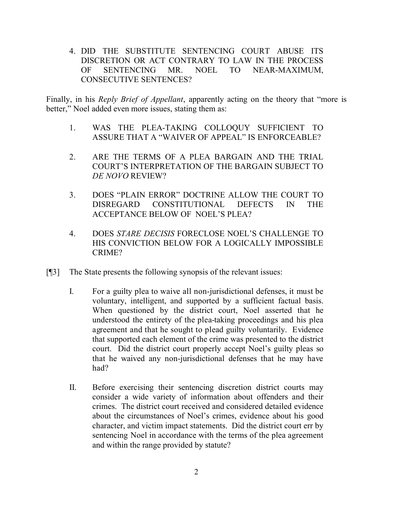4. DID THE SUBSTITUTE SENTENCING COURT ABUSE ITS DISCRETION OR ACT CONTRARY TO LAW IN THE PROCESS OF SENTENCING MR. NOEL TO NEAR-MAXIMUM, CONSECUTIVE SENTENCES?

Finally, in his *Reply Brief of Appellant*, apparently acting on the theory that "more is better," Noel added even more issues, stating them as:

- 1. WAS THE PLEA-TAKING COLLOQUY SUFFICIENT TO ASSURE THAT A "WAIVER OF APPEAL" IS ENFORCEABLE?
- 2. ARE THE TERMS OF A PLEA BARGAIN AND THE TRIAL COURT'S INTERPRETATION OF THE BARGAIN SUBJECT TO *DE NOVO* REVIEW?
- 3. DOES "PLAIN ERROR" DOCTRINE ALLOW THE COURT TO DISREGARD CONSTITUTIONAL DEFECTS IN THE ACCEPTANCE BELOW OF NOEL'S PLEA?
- 4. DOES *STARE DECISIS* FORECLOSE NOEL'S CHALLENGE TO HIS CONVICTION BELOW FOR A LOGICALLY IMPOSSIBLE CRIME?
- [¶3] The State presents the following synopsis of the relevant issues:
	- I. For a guilty plea to waive all non-jurisdictional defenses, it must be voluntary, intelligent, and supported by a sufficient factual basis. When questioned by the district court, Noel asserted that he understood the entirety of the plea-taking proceedings and his plea agreement and that he sought to plead guilty voluntarily. Evidence that supported each element of the crime was presented to the district court. Did the district court properly accept Noel's guilty pleas so that he waived any non-jurisdictional defenses that he may have had?
	- II. Before exercising their sentencing discretion district courts may consider a wide variety of information about offenders and their crimes. The district court received and considered detailed evidence about the circumstances of Noel's crimes, evidence about his good character, and victim impact statements. Did the district court err by sentencing Noel in accordance with the terms of the plea agreement and within the range provided by statute?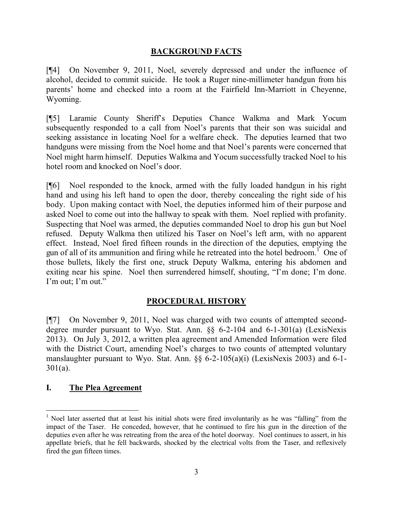#### **BACKGROUND FACTS**

[¶4] On November 9, 2011, Noel, severely depressed and under the influence of alcohol, decided to commit suicide. He took a Ruger nine-millimeter handgun from his parents' home and checked into a room at the Fairfield Inn-Marriott in Cheyenne, Wyoming.

[¶5] Laramie County Sheriff's Deputies Chance Walkma and Mark Yocum subsequently responded to a call from Noel's parents that their son was suicidal and seeking assistance in locating Noel for a welfare check. The deputies learned that two handguns were missing from the Noel home and that Noel's parents were concerned that Noel might harm himself. Deputies Walkma and Yocum successfully tracked Noel to his hotel room and knocked on Noel's door.

[¶6] Noel responded to the knock, armed with the fully loaded handgun in his right hand and using his left hand to open the door, thereby concealing the right side of his body. Upon making contact with Noel, the deputies informed him of their purpose and asked Noel to come out into the hallway to speak with them. Noel replied with profanity. Suspecting that Noel was armed, the deputies commanded Noel to drop his gun but Noel refused. Deputy Walkma then utilized his Taser on Noel's left arm, with no apparent effect. Instead, Noel fired fifteen rounds in the direction of the deputies, emptying the gun of all of its ammunition and firing while he retreated into the hotel bedroom.<sup>1</sup> One of those bullets, likely the first one, struck Deputy Walkma, entering his abdomen and exiting near his spine. Noel then surrendered himself, shouting, "I'm done; I'm done. I'm out; I'm out."

## **PROCEDURAL HISTORY**

[¶7] On November 9, 2011, Noel was charged with two counts of attempted seconddegree murder pursuant to Wyo. Stat. Ann. §§ 6-2-104 and 6-1-301(a) (LexisNexis 2013). On July 3, 2012, a written plea agreement and Amended Information were filed with the District Court, amending Noel's charges to two counts of attempted voluntary manslaughter pursuant to Wyo. Stat. Ann. §§ 6-2-105(a)(i) (LexisNexis 2003) and 6-1- 301(a).

#### **I. The Plea Agreement**

<sup>&</sup>lt;sup>1</sup> Noel later asserted that at least his initial shots were fired involuntarily as he was "falling" from the impact of the Taser. He conceded, however, that he continued to fire his gun in the direction of the deputies even after he was retreating from the area of the hotel doorway. Noel continues to assert, in his appellate briefs, that he fell backwards, shocked by the electrical volts from the Taser, and reflexively fired the gun fifteen times.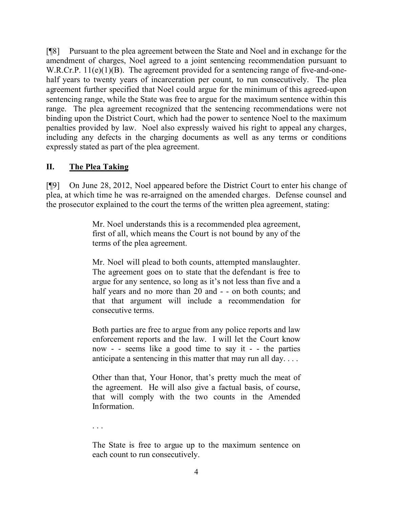[¶8] Pursuant to the plea agreement between the State and Noel and in exchange for the amendment of charges, Noel agreed to a joint sentencing recommendation pursuant to W.R.Cr.P. 11(e)(1)(B). The agreement provided for a sentencing range of five-and-onehalf years to twenty years of incarceration per count, to run consecutively. The plea agreement further specified that Noel could argue for the minimum of this agreed-upon sentencing range, while the State was free to argue for the maximum sentence within this range. The plea agreement recognized that the sentencing recommendations were not binding upon the District Court, which had the power to sentence Noel to the maximum penalties provided by law. Noel also expressly waived his right to appeal any charges, including any defects in the charging documents as well as any terms or conditions expressly stated as part of the plea agreement.

## **II. The Plea Taking**

[¶9] On June 28, 2012, Noel appeared before the District Court to enter his change of plea, at which time he was re-arraigned on the amended charges. Defense counsel and the prosecutor explained to the court the terms of the written plea agreement, stating:

> Mr. Noel understands this is a recommended plea agreement, first of all, which means the Court is not bound by any of the terms of the plea agreement.

> Mr. Noel will plead to both counts, attempted manslaughter. The agreement goes on to state that the defendant is free to argue for any sentence, so long as it's not less than five and a half years and no more than 20 and - - on both counts; and that that argument will include a recommendation for consecutive terms.

> Both parties are free to argue from any police reports and law enforcement reports and the law. I will let the Court know now - - seems like a good time to say it - - the parties anticipate a sentencing in this matter that may run all day. . . .

> Other than that, Your Honor, that's pretty much the meat of the agreement. He will also give a factual basis, of course, that will comply with the two counts in the Amended Information.

. . .

The State is free to argue up to the maximum sentence on each count to run consecutively.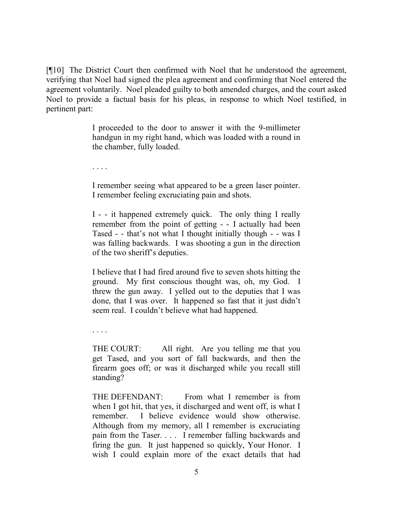[¶10] The District Court then confirmed with Noel that he understood the agreement, verifying that Noel had signed the plea agreement and confirming that Noel entered the agreement voluntarily. Noel pleaded guilty to both amended charges, and the court asked Noel to provide a factual basis for his pleas, in response to which Noel testified, in pertinent part:

> I proceeded to the door to answer it with the 9-millimeter handgun in my right hand, which was loaded with a round in the chamber, fully loaded.

. . . .

I remember seeing what appeared to be a green laser pointer. I remember feeling excruciating pain and shots.

I - - it happened extremely quick. The only thing I really remember from the point of getting - - I actually had been Tased - - that's not what I thought initially though - - was I was falling backwards. I was shooting a gun in the direction of the two sheriff's deputies.

I believe that I had fired around five to seven shots hitting the ground. My first conscious thought was, oh, my God. I threw the gun away. I yelled out to the deputies that I was done, that I was over. It happened so fast that it just didn't seem real. I couldn't believe what had happened.

. . . .

THE COURT: All right. Are you telling me that you get Tased, and you sort of fall backwards, and then the firearm goes off; or was it discharged while you recall still standing?

THE DEFENDANT: From what I remember is from when I got hit, that yes, it discharged and went off, is what I remember. I believe evidence would show otherwise. Although from my memory, all I remember is excruciating pain from the Taser. . . . I remember falling backwards and firing the gun. It just happened so quickly, Your Honor. I wish I could explain more of the exact details that had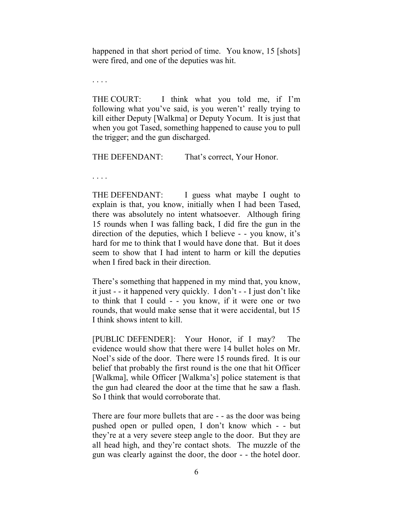happened in that short period of time. You know, 15 [shots] were fired, and one of the deputies was hit.

. . . .

THE COURT: I think what you told me, if I'm following what you've said, is you weren't' really trying to kill either Deputy [Walkma] or Deputy Yocum. It is just that when you got Tased, something happened to cause you to pull the trigger; and the gun discharged.

THE DEFENDANT: That's correct, Your Honor.

. . . .

THE DEFENDANT: I guess what maybe I ought to explain is that, you know, initially when I had been Tased, there was absolutely no intent whatsoever. Although firing 15 rounds when I was falling back, I did fire the gun in the direction of the deputies, which I believe - - you know, it's hard for me to think that I would have done that. But it does seem to show that I had intent to harm or kill the deputies when I fired back in their direction.

There's something that happened in my mind that, you know, it just - - it happened very quickly. I don't - - I just don't like to think that I could - - you know, if it were one or two rounds, that would make sense that it were accidental, but 15 I think shows intent to kill.

[PUBLIC DEFENDER]: Your Honor, if I may? The evidence would show that there were 14 bullet holes on Mr. Noel's side of the door. There were 15 rounds fired. It is our belief that probably the first round is the one that hit Officer [Walkma], while Officer [Walkma's] police statement is that the gun had cleared the door at the time that he saw a flash. So I think that would corroborate that.

There are four more bullets that are - - as the door was being pushed open or pulled open, I don't know which - - but they're at a very severe steep angle to the door. But they are all head high, and they're contact shots. The muzzle of the gun was clearly against the door, the door - - the hotel door.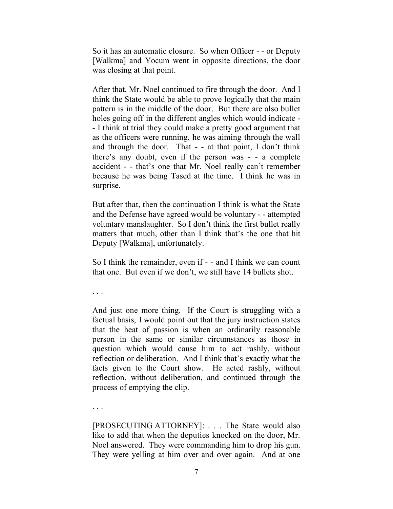So it has an automatic closure. So when Officer - - or Deputy [Walkma] and Yocum went in opposite directions, the door was closing at that point.

After that, Mr. Noel continued to fire through the door. And I think the State would be able to prove logically that the main pattern is in the middle of the door. But there are also bullet holes going off in the different angles which would indicate - - I think at trial they could make a pretty good argument that as the officers were running, he was aiming through the wall and through the door. That - - at that point, I don't think there's any doubt, even if the person was - - a complete accident - - that's one that Mr. Noel really can't remember because he was being Tased at the time. I think he was in surprise.

But after that, then the continuation I think is what the State and the Defense have agreed would be voluntary - - attempted voluntary manslaughter. So I don't think the first bullet really matters that much, other than I think that's the one that hit Deputy [Walkma], unfortunately.

So I think the remainder, even if - - and I think we can count that one. But even if we don't, we still have 14 bullets shot.

. . .

And just one more thing. If the Court is struggling with a factual basis, I would point out that the jury instruction states that the heat of passion is when an ordinarily reasonable person in the same or similar circumstances as those in question which would cause him to act rashly, without reflection or deliberation. And I think that's exactly what the facts given to the Court show. He acted rashly, without reflection, without deliberation, and continued through the process of emptying the clip.

. . .

[PROSECUTING ATTORNEY]: . . . The State would also like to add that when the deputies knocked on the door, Mr. Noel answered. They were commanding him to drop his gun. They were yelling at him over and over again. And at one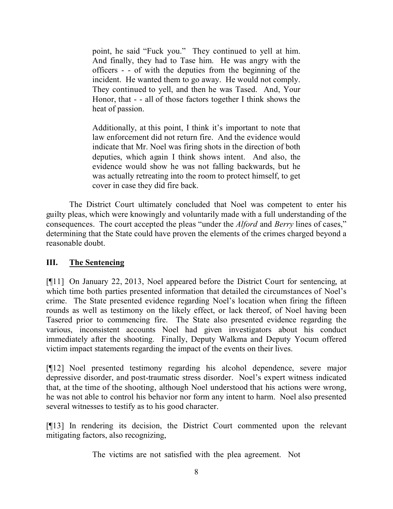point, he said "Fuck you." They continued to yell at him. And finally, they had to Tase him. He was angry with the officers - - of with the deputies from the beginning of the incident. He wanted them to go away. He would not comply. They continued to yell, and then he was Tased. And, Your Honor, that - - all of those factors together I think shows the heat of passion.

Additionally, at this point, I think it's important to note that law enforcement did not return fire. And the evidence would indicate that Mr. Noel was firing shots in the direction of both deputies, which again I think shows intent. And also, the evidence would show he was not falling backwards, but he was actually retreating into the room to protect himself, to get cover in case they did fire back.

The District Court ultimately concluded that Noel was competent to enter his guilty pleas, which were knowingly and voluntarily made with a full understanding of the consequences. The court accepted the pleas "under the *Alford* and *Berry* lines of cases," determining that the State could have proven the elements of the crimes charged beyond a reasonable doubt.

#### **III. The Sentencing**

[¶11] On January 22, 2013, Noel appeared before the District Court for sentencing, at which time both parties presented information that detailed the circumstances of Noel's crime. The State presented evidence regarding Noel's location when firing the fifteen rounds as well as testimony on the likely effect, or lack thereof, of Noel having been Tasered prior to commencing fire. The State also presented evidence regarding the various, inconsistent accounts Noel had given investigators about his conduct immediately after the shooting. Finally, Deputy Walkma and Deputy Yocum offered victim impact statements regarding the impact of the events on their lives.

[¶12] Noel presented testimony regarding his alcohol dependence, severe major depressive disorder, and post-traumatic stress disorder. Noel's expert witness indicated that, at the time of the shooting, although Noel understood that his actions were wrong, he was not able to control his behavior nor form any intent to harm. Noel also presented several witnesses to testify as to his good character.

[¶13] In rendering its decision, the District Court commented upon the relevant mitigating factors, also recognizing,

The victims are not satisfied with the plea agreement. Not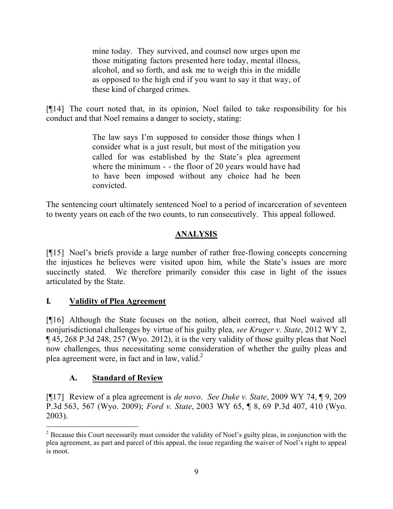mine today. They survived, and counsel now urges upon me those mitigating factors presented here today, mental illness, alcohol, and so forth, and ask me to weigh this in the middle as opposed to the high end if you want to say it that way, of these kind of charged crimes.

[¶14] The court noted that, in its opinion, Noel failed to take responsibility for his conduct and that Noel remains a danger to society, stating:

> The law says I'm supposed to consider those things when I consider what is a just result, but most of the mitigation you called for was established by the State's plea agreement where the minimum - - the floor of 20 years would have had to have been imposed without any choice had he been convicted.

The sentencing court ultimately sentenced Noel to a period of incarceration of seventeen to twenty years on each of the two counts, to run consecutively. This appeal followed.

# **ANALYSIS**

[¶15] Noel's briefs provide a large number of rather free-flowing concepts concerning the injustices he believes were visited upon him, while the State's issues are more succinctly stated. We therefore primarily consider this case in light of the issues articulated by the State.

## **I***.* **Validity of Plea Agreement**

[¶16] Although the State focuses on the notion, albeit correct, that Noel waived all nonjurisdictional challenges by virtue of his guilty plea, *see Kruger v. State*, 2012 WY 2, ¶ 45, 268 P.3d 248, 257 (Wyo. 2012), it is the very validity of those guilty pleas that Noel now challenges, thus necessitating some consideration of whether the guilty pleas and plea agreement were, in fact and in law, valid. $2^2$ 

## **A. Standard of Review**

[¶17] Review of a plea agreement is *de novo*. *See Duke v. State*, 2009 WY 74, ¶ 9, 209 P.3d 563, 567 (Wyo. 2009); *Ford v. State*, 2003 WY 65, ¶ 8, 69 P.3d 407, 410 (Wyo. 2003).

 <sup>2</sup> Because this Court necessarily must consider the validity of Noel's guilty pleas, in conjunction with the plea agreement, as part and parcel of this appeal, the issue regarding the waiver of Noel's right to appeal is moot.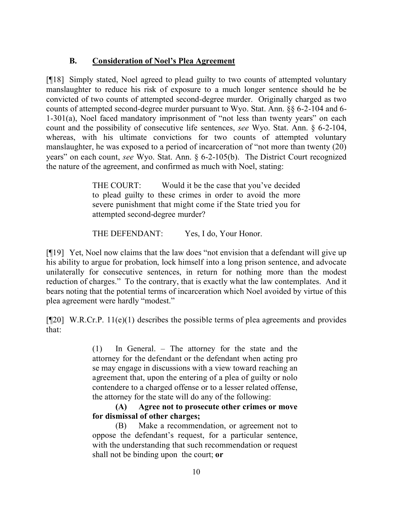## **B. Consideration of Noel's Plea Agreement**

[¶18] Simply stated, Noel agreed to plead guilty to two counts of attempted voluntary manslaughter to reduce his risk of exposure to a much longer sentence should he be convicted of two counts of attempted second-degree murder. Originally charged as two counts of attempted second-degree murder pursuant to Wyo. Stat. Ann. §§ 6-2-104 and 6- 1-301(a), Noel faced mandatory imprisonment of "not less than twenty years" on each count and the possibility of consecutive life sentences, *see* Wyo. Stat. Ann. § 6-2-104, whereas, with his ultimate convictions for two counts of attempted voluntary manslaughter, he was exposed to a period of incarceration of "not more than twenty (20) years" on each count, *see* Wyo. Stat. Ann. § 6-2-105(b). The District Court recognized the nature of the agreement, and confirmed as much with Noel, stating:

> THE COURT: Would it be the case that you've decided to plead guilty to these crimes in order to avoid the more severe punishment that might come if the State tried you for attempted second-degree murder?

THE DEFENDANT: Yes, I do, Your Honor.

[¶19] Yet, Noel now claims that the law does "not envision that a defendant will give up his ability to argue for probation, lock himself into a long prison sentence, and advocate unilaterally for consecutive sentences, in return for nothing more than the modest reduction of charges." To the contrary, that is exactly what the law contemplates. And it bears noting that the potential terms of incarceration which Noel avoided by virtue of this plea agreement were hardly "modest."

 $[$ [[20] W.R.Cr.P. 11(e)(1) describes the possible terms of plea agreements and provides that:

> (1) In General. – The attorney for the state and the attorney for the defendant or the defendant when acting pro se may engage in discussions with a view toward reaching an agreement that, upon the entering of a plea of guilty or nolo contendere to a charged offense or to a lesser related offense, the attorney for the state will do any of the following:

> **(A) Agree not to prosecute other crimes or move for dismissal of other charges;**

> (B) Make a recommendation, or agreement not to oppose the defendant's request, for a particular sentence, with the understanding that such recommendation or request shall not be binding upon the court; **or**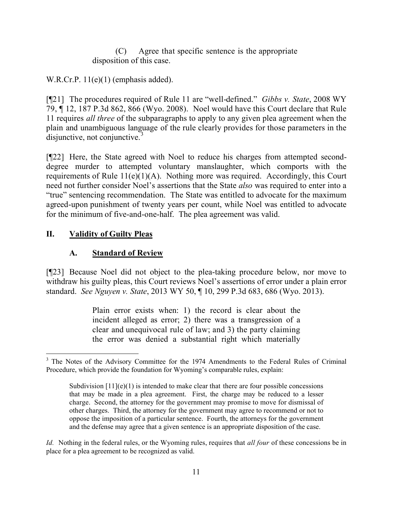(C) Agree that specific sentence is the appropriate disposition of this case.

W.R.Cr.P.  $11(e)(1)$  (emphasis added).

[¶21] The procedures required of Rule 11 are "well-defined." *Gibbs v. State*, 2008 WY 79, ¶ 12, 187 P.3d 862, 866 (Wyo. 2008). Noel would have this Court declare that Rule 11 requires *all three* of the subparagraphs to apply to any given plea agreement when the plain and unambiguous language of the rule clearly provides for those parameters in the disjunctive, not conjunctive. $\frac{3}{3}$ 

[¶22] Here, the State agreed with Noel to reduce his charges from attempted seconddegree murder to attempted voluntary manslaughter, which comports with the requirements of Rule  $11(e)(1)(A)$ . Nothing more was required. Accordingly, this Court need not further consider Noel's assertions that the State *also* was required to enter into a "true" sentencing recommendation. The State was entitled to advocate for the maximum agreed-upon punishment of twenty years per count, while Noel was entitled to advocate for the minimum of five-and-one-half. The plea agreement was valid.

# **II. Validity of Guilty Pleas**

## **A. Standard of Review**

[¶23] Because Noel did not object to the plea-taking procedure below, nor move to withdraw his guilty pleas, this Court reviews Noel's assertions of error under a plain error standard. *See Nguyen v. State*, 2013 WY 50, ¶ 10, 299 P.3d 683, 686 (Wyo. 2013).

> Plain error exists when: 1) the record is clear about the incident alleged as error; 2) there was a transgression of a clear and unequivocal rule of law; and 3) the party claiming the error was denied a substantial right which materially

*Id.* Nothing in the federal rules, or the Wyoming rules, requires that *all four* of these concessions be in place for a plea agreement to be recognized as valid.

 <sup>3</sup> The Notes of the Advisory Committee for the 1974 Amendments to the Federal Rules of Criminal Procedure, which provide the foundation for Wyoming's comparable rules, explain:

Subdivision  $[11](e)(1)$  is intended to make clear that there are four possible concessions that may be made in a plea agreement. First, the charge may be reduced to a lesser charge. Second, the attorney for the government may promise to move for dismissal of other charges. Third, the attorney for the government may agree to recommend or not to oppose the imposition of a particular sentence. Fourth, the attorneys for the government and the defense may agree that a given sentence is an appropriate disposition of the case.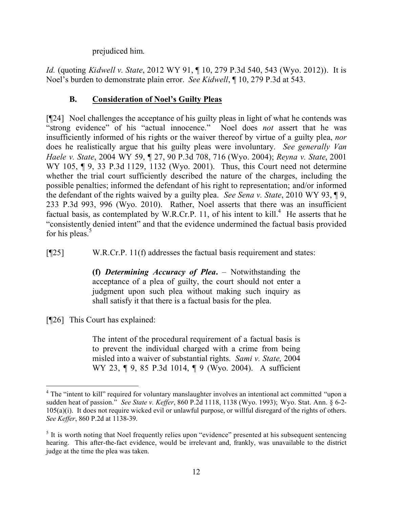prejudiced him.

*Id.* (quoting *Kidwell v. State*, 2012 WY 91, ¶ 10, 279 P.3d 540, 543 (Wyo. 2012)). It is Noel's burden to demonstrate plain error. *See Kidwell*, ¶ 10, 279 P.3d at 543.

## **B. Consideration of Noel's Guilty Pleas**

[¶24] Noel challenges the acceptance of his guilty pleas in light of what he contends was "strong evidence" of his "actual innocence." Noel does *not* assert that he was insufficiently informed of his rights or the waiver thereof by virtue of a guilty plea, *nor* does he realistically argue that his guilty pleas were involuntary. *See generally Van Haele v. State*, 2004 WY 59, ¶ 27, 90 P.3d 708, 716 (Wyo. 2004); *Reyna v. State*, 2001 WY 105, ¶ 9, 33 P.3d 1129, 1132 (Wyo. 2001). Thus, this Court need not determine whether the trial court sufficiently described the nature of the charges, including the possible penalties; informed the defendant of his right to representation; and/or informed the defendant of the rights waived by a guilty plea. *See Sena v. State*, 2010 WY 93, ¶ 9, 233 P.3d 993, 996 (Wyo. 2010). Rather, Noel asserts that there was an insufficient factual basis, as contemplated by W.R.Cr.P. 11, of his intent to  $\text{kill}^4$ . He asserts that he "consistently denied intent" and that the evidence undermined the factual basis provided for his pleas.<sup>5</sup>

[¶25] W.R.Cr.P. 11(f) addresses the factual basis requirement and states:

**(f)** *Determining Accuracy of Plea***.** – Notwithstanding the acceptance of a plea of guilty, the court should not enter a judgment upon such plea without making such inquiry as shall satisfy it that there is a factual basis for the plea.

[¶26] This Court has explained:

The intent of the procedural requirement of a factual basis is to prevent the individual charged with a crime from being misled into a waiver of substantial rights. *Sami v. State,* 2004 WY 23, 19, 85 P.3d 1014, 19 (Wyo. 2004). A sufficient

<sup>&</sup>lt;sup>4</sup> The "intent to kill" required for voluntary manslaughter involves an intentional act committed "upon a sudden heat of passion." *See State v. Keffer*, 860 P.2d 1118, 1138 (Wyo. 1993); Wyo. Stat. Ann. § 6-2- 105(a)(i). It does not require wicked evil or unlawful purpose, or willful disregard of the rights of others. *See Keffer*, 860 P.2d at 1138-39.

<sup>&</sup>lt;sup>5</sup> It is worth noting that Noel frequently relies upon "evidence" presented at his subsequent sentencing hearing. This after-the-fact evidence, would be irrelevant and, frankly, was unavailable to the district judge at the time the plea was taken.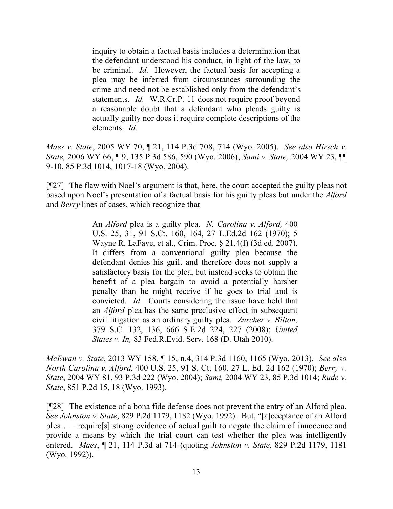inquiry to obtain a factual basis includes a determination that the defendant understood his conduct, in light of the law, to be criminal. *Id.* However, the factual basis for accepting a plea may be inferred from circumstances surrounding the crime and need not be established only from the defendant's statements. *Id.* W.R.Cr.P. 11 does not require proof beyond a reasonable doubt that a defendant who pleads guilty is actually guilty nor does it require complete descriptions of the elements. *Id.*

*Maes v. State*, 2005 WY 70, ¶ 21, 114 P.3d 708, 714 (Wyo. 2005). *See also Hirsch v. State,* 2006 WY 66, ¶ 9, 135 P.3d 586, 590 (Wyo. 2006); *Sami v. State,* 2004 WY 23, ¶¶ 9-10, 85 P.3d 1014, 1017-18 (Wyo. 2004).

[¶27] The flaw with Noel's argument is that, here, the court accepted the guilty pleas not based upon Noel's presentation of a factual basis for his guilty pleas but under the *Alford*  and *Berry* lines of cases, which recognize that

> An *Alford* plea is a guilty plea. *N. Carolina v. Alford,* 400 U.S. 25, 31, 91 S.Ct. 160, 164, 27 L.Ed.2d 162 (1970); 5 Wayne R. LaFave, et al., Crim. Proc. § 21.4(f) (3d ed. 2007). It differs from a conventional guilty plea because the defendant denies his guilt and therefore does not supply a satisfactory basis for the plea, but instead seeks to obtain the benefit of a plea bargain to avoid a potentially harsher penalty than he might receive if he goes to trial and is convicted. *Id.* Courts considering the issue have held that an *Alford* plea has the same preclusive effect in subsequent civil litigation as an ordinary guilty plea. *Zurcher v. Bilton,* 379 S.C. 132, 136, 666 S.E.2d 224, 227 (2008); *United States v. In,* 83 Fed.R.Evid. Serv. 168 (D. Utah 2010).

*McEwan v. State*, 2013 WY 158, ¶ 15, n.4, 314 P.3d 1160, 1165 (Wyo. 2013). *See also North Carolina v. Alford*, 400 U.S. 25, 91 S. Ct. 160, 27 L. Ed. 2d 162 (1970); *Berry v. State*, 2004 WY 81, 93 P.3d 222 (Wyo. 2004); *Sami,* 2004 WY 23, 85 P.3d 1014; *Rude v. State*, 851 P.2d 15, 18 (Wyo. 1993).

[¶28] The existence of a bona fide defense does not prevent the entry of an Alford plea. *See Johnston v. State*, 829 P.2d 1179, 1182 (Wyo. 1992). But, "[a]cceptance of an Alford plea . . . require[s] strong evidence of actual guilt to negate the claim of innocence and provide a means by which the trial court can test whether the plea was intelligently entered. *Maes*, ¶ 21, 114 P.3d at 714 (quoting *Johnston v. State,* 829 P.2d 1179, 1181 (Wyo. 1992)).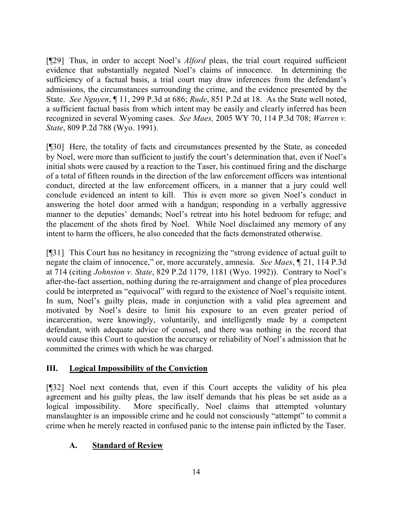[¶29] Thus, in order to accept Noel's *Alford* pleas, the trial court required sufficient evidence that substantially negated Noel's claims of innocence. In determining the sufficiency of a factual basis, a trial court may draw inferences from the defendant's admissions, the circumstances surrounding the crime, and the evidence presented by the State. *See Nguyen*, ¶ 11, 299 P.3d at 686; *Rude*, 851 P.2d at 18. As the State well noted, a sufficient factual basis from which intent may be easily and clearly inferred has been recognized in several Wyoming cases. *See Maes,* 2005 WY 70, 114 P.3d 708; *Warren v. State*, 809 P.2d 788 (Wyo. 1991).

[¶30] Here, the totality of facts and circumstances presented by the State, as conceded by Noel, were more than sufficient to justify the court's determination that, even if Noel's initial shots were caused by a reaction to the Taser, his continued firing and the discharge of a total of fifteen rounds in the direction of the law enforcement officers was intentional conduct, directed at the law enforcement officers, in a manner that a jury could well conclude evidenced an intent to kill. This is even more so given Noel's conduct in answering the hotel door armed with a handgun; responding in a verbally aggressive manner to the deputies' demands; Noel's retreat into his hotel bedroom for refuge; and the placement of the shots fired by Noel. While Noel disclaimed any memory of any intent to harm the officers, he also conceded that the facts demonstrated otherwise.

[¶31] This Court has no hesitancy in recognizing the "strong evidence of actual guilt to negate the claim of innocence," or, more accurately, amnesia. *See Maes*, ¶ 21, 114 P.3d at 714 (citing *Johnston v. State*, 829 P.2d 1179, 1181 (Wyo. 1992)). Contrary to Noel's after-the-fact assertion, nothing during the re-arraignment and change of plea procedures could be interpreted as "equivocal" with regard to the existence of Noel's requisite intent. In sum, Noel's guilty pleas, made in conjunction with a valid plea agreement and motivated by Noel's desire to limit his exposure to an even greater period of incarceration, were knowingly, voluntarily, and intelligently made by a competent defendant, with adequate advice of counsel, and there was nothing in the record that would cause this Court to question the accuracy or reliability of Noel's admission that he committed the crimes with which he was charged.

## **III. Logical Impossibility of the Conviction**

[¶32] Noel next contends that, even if this Court accepts the validity of his plea agreement and his guilty pleas, the law itself demands that his pleas be set aside as a logical impossibility. More specifically, Noel claims that attempted voluntary manslaughter is an impossible crime and he could not consciously "attempt" to commit a crime when he merely reacted in confused panic to the intense pain inflicted by the Taser.

## **A. Standard of Review**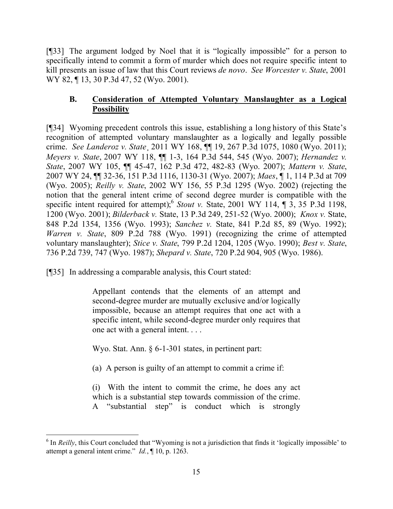[¶33] The argument lodged by Noel that it is "logically impossible" for a person to specifically intend to commit a form of murder which does not require specific intent to kill presents an issue of law that this Court reviews *de novo*. *See Worcester v. State*, 2001 WY 82, 13, 30 P.3d 47, 52 (Wyo. 2001).

## **B. Consideration of Attempted Voluntary Manslaughter as a Logical Possibility**

[¶34] Wyoming precedent controls this issue, establishing a long history of this State's recognition of attempted voluntary manslaughter as a logically and legally possible crime. *See Landeroz v. State*¸ 2011 WY 168, ¶¶ 19, 267 P.3d 1075, 1080 (Wyo. 2011); *Meyers v. State*, 2007 WY 118, ¶¶ 1-3, 164 P.3d 544, 545 (Wyo. 2007); *Hernandez v. State*, 2007 WY 105, ¶¶ 45-47, 162 P.3d 472, 482-83 (Wyo. 2007); *Mattern v. State*, 2007 WY 24, ¶¶ 32-36, 151 P.3d 1116, 1130-31 (Wyo. 2007); *Maes*, ¶ 1, 114 P.3d at 709 (Wyo. 2005); *Reilly v. State*, 2002 WY 156, 55 P.3d 1295 (Wyo. 2002) (rejecting the notion that the general intent crime of second degree murder is compatible with the specific intent required for attempt); Stout v. State, 2001 WY 114,  $\P$  3, 35 P.3d 1198, 1200 (Wyo. 2001); *Bilderback v.* State, 13 P.3d 249, 251-52 (Wyo. 2000); *Knox v.* State, 848 P.2d 1354, 1356 (Wyo. 1993); *Sanchez v.* State, 841 P.2d 85, 89 (Wyo. 1992); *Warren v. State*, 809 P.2d 788 (Wyo. 1991) (recognizing the crime of attempted voluntary manslaughter); *Stice v. State*, 799 P.2d 1204, 1205 (Wyo. 1990); *Best v. State*, 736 P.2d 739, 747 (Wyo. 1987); *Shepard v. State*, 720 P.2d 904, 905 (Wyo. 1986).

[¶35] In addressing a comparable analysis, this Court stated:

Appellant contends that the elements of an attempt and second-degree murder are mutually exclusive and/or logically impossible, because an attempt requires that one act with a specific intent, while second-degree murder only requires that one act with a general intent. . . .

Wyo. Stat. Ann. § 6-1-301 states, in pertinent part:

(a) A person is guilty of an attempt to commit a crime if:

(i) With the intent to commit the crime, he does any act which is a substantial step towards commission of the crime. A "substantial step" is conduct which is strongly

<sup>&</sup>lt;sup>6</sup> In *Reilly*, this Court concluded that "Wyoming is not a jurisdiction that finds it 'logically impossible' to attempt a general intent crime." *Id.*, ¶ 10, p. 1263.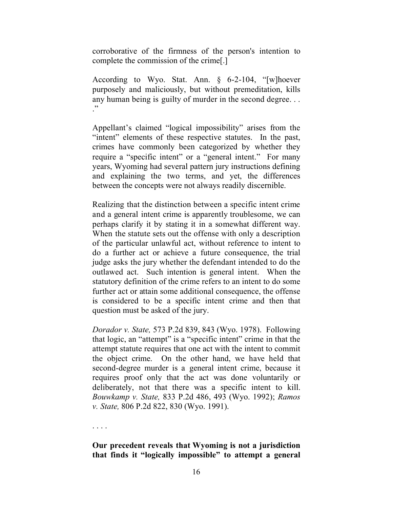corroborative of the firmness of the person's intention to complete the commission of the crime[.]

According to Wyo. Stat. Ann. § 6-2-104, "[w]hoever purposely and maliciously, but without premeditation, kills any human being is guilty of murder in the second degree. . . ."

Appellant's claimed "logical impossibility" arises from the "intent" elements of these respective statutes. In the past, crimes have commonly been categorized by whether they require a "specific intent" or a "general intent." For many years, Wyoming had several pattern jury instructions defining and explaining the two terms, and yet, the differences between the concepts were not always readily discernible.

Realizing that the distinction between a specific intent crime and a general intent crime is apparently troublesome, we can perhaps clarify it by stating it in a somewhat different way. When the statute sets out the offense with only a description of the particular unlawful act, without reference to intent to do a further act or achieve a future consequence, the trial judge asks the jury whether the defendant intended to do the outlawed act. Such intention is general intent. When the statutory definition of the crime refers to an intent to do some further act or attain some additional consequence, the offense is considered to be a specific intent crime and then that question must be asked of the jury.

*Dorador v. State,* 573 P.2d 839, 843 (Wyo. 1978). Following that logic, an "attempt" is a "specific intent" crime in that the attempt statute requires that one act with the intent to commit the object crime. On the other hand, we have held that second-degree murder is a general intent crime, because it requires proof only that the act was done voluntarily or deliberately, not that there was a specific intent to kill. *Bouwkamp v. State,* 833 P.2d 486, 493 (Wyo. 1992); *Ramos v. State,* 806 P.2d 822, 830 (Wyo. 1991).

. . . .

#### **Our precedent reveals that Wyoming is not a jurisdiction that finds it "logically impossible" to attempt a general**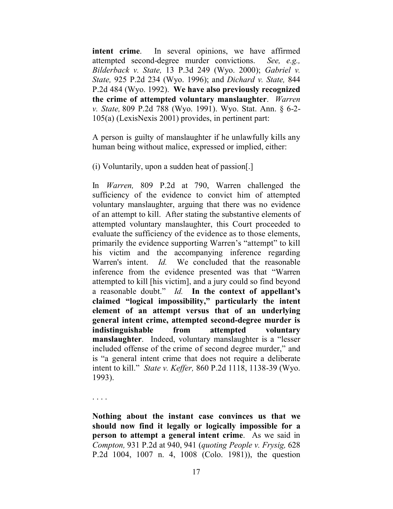**intent crime**. In several opinions, we have affirmed attempted second-degree murder convictions. *See, e.g., Bilderback v. State,* 13 P.3d 249 (Wyo. 2000); *Gabriel v. State,* 925 P.2d 234 (Wyo. 1996); and *Dichard v. State,* 844 P.2d 484 (Wyo. 1992). **We have also previously recognized the crime of attempted voluntary manslaughter**. *Warren v. State,* 809 P.2d 788 (Wyo. 1991). Wyo. Stat. Ann. § 6-2- 105(a) (LexisNexis 2001) provides, in pertinent part:

A person is guilty of manslaughter if he unlawfully kills any human being without malice, expressed or implied, either:

(i) Voluntarily, upon a sudden heat of passion[.]

In *Warren,* 809 P.2d at 790, Warren challenged the sufficiency of the evidence to convict him of attempted voluntary manslaughter, arguing that there was no evidence of an attempt to kill. After stating the substantive elements of attempted voluntary manslaughter, this Court proceeded to evaluate the sufficiency of the evidence as to those elements, primarily the evidence supporting Warren's "attempt" to kill his victim and the accompanying inference regarding Warren's intent. *Id.* We concluded that the reasonable inference from the evidence presented was that "Warren attempted to kill [his victim], and a jury could so find beyond a reasonable doubt." *Id.* **In the context of appellant's claimed "logical impossibility," particularly the intent element of an attempt versus that of an underlying general intent crime, attempted second-degree murder is indistinguishable from attempted voluntary manslaughter**. Indeed, voluntary manslaughter is a "lesser included offense of the crime of second degree murder," and is "a general intent crime that does not require a deliberate intent to kill." *State v. Keffer,* 860 P.2d 1118, 1138-39 (Wyo. 1993).

. . . .

**Nothing about the instant case convinces us that we should now find it legally or logically impossible for a person to attempt a general intent crime**. As we said in *Compton,* 931 P.2d at 940, 941 (*quoting People v. Frysig,* 628 P.2d 1004, 1007 n. 4, 1008 (Colo. 1981)), the question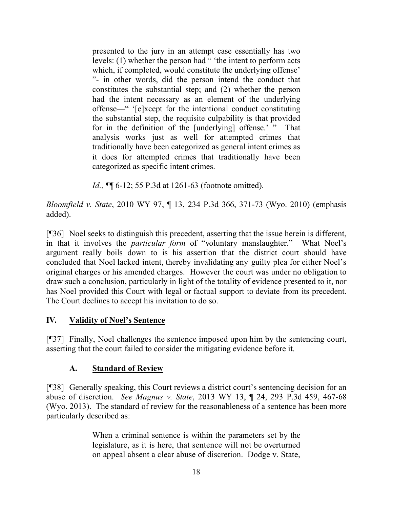presented to the jury in an attempt case essentially has two levels: (1) whether the person had  $\frac{1}{x}$  'the intent to perform acts which, if completed, would constitute the underlying offense' "- in other words, did the person intend the conduct that constitutes the substantial step; and (2) whether the person had the intent necessary as an element of the underlying offense—" '[e]xcept for the intentional conduct constituting the substantial step, the requisite culpability is that provided for in the definition of the [underlying] offense.' " That analysis works just as well for attempted crimes that traditionally have been categorized as general intent crimes as it does for attempted crimes that traditionally have been categorized as specific intent crimes.

*Id.*, **¶** 6-12; 55 P.3d at 1261-63 (footnote omitted).

*Bloomfield v. State*, 2010 WY 97, ¶ 13, 234 P.3d 366, 371-73 (Wyo. 2010) (emphasis added).

[¶36] Noel seeks to distinguish this precedent, asserting that the issue herein is different, in that it involves the *particular form* of "voluntary manslaughter." What Noel's argument really boils down to is his assertion that the district court should have concluded that Noel lacked intent, thereby invalidating any guilty plea for either Noel's original charges or his amended charges. However the court was under no obligation to draw such a conclusion, particularly in light of the totality of evidence presented to it, nor has Noel provided this Court with legal or factual support to deviate from its precedent. The Court declines to accept his invitation to do so.

## **IV***.* **Validity of Noel's Sentence**

[¶37] Finally, Noel challenges the sentence imposed upon him by the sentencing court, asserting that the court failed to consider the mitigating evidence before it.

# **A. Standard of Review**

[¶38] Generally speaking, this Court reviews a district court's sentencing decision for an abuse of discretion. *See Magnus v. State*, 2013 WY 13, ¶ 24, 293 P.3d 459, 467-68 (Wyo. 2013). The standard of review for the reasonableness of a sentence has been more particularly described as:

> When a criminal sentence is within the parameters set by the legislature, as it is here, that sentence will not be overturned on appeal absent a clear abuse of discretion. Dodge v. State,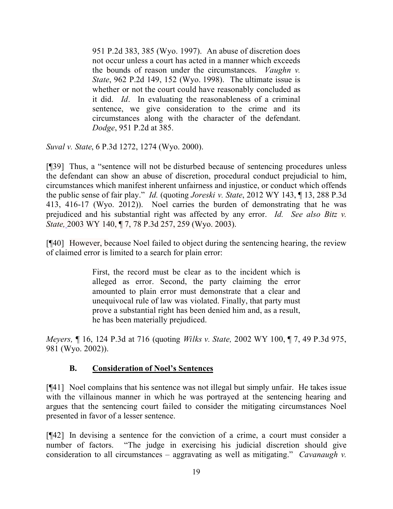951 P.2d 383, 385 (Wyo. 1997). An abuse of discretion does not occur unless a court has acted in a manner which exceeds the bounds of reason under the circumstances. *Vaughn v. State*, 962 P.2d 149, 152 (Wyo. 1998). The ultimate issue is whether or not the court could have reasonably concluded as it did. *Id*. In evaluating the reasonableness of a criminal sentence, we give consideration to the crime and its circumstances along with the character of the defendant. *Dodge*, 951 P.2d at 385.

*Suval v. State*, 6 P.3d 1272, 1274 (Wyo. 2000).

[¶39] Thus, a "sentence will not be disturbed because of sentencing procedures unless the defendant can show an abuse of discretion, procedural conduct prejudicial to him, circumstances which manifest inherent unfairness and injustice, or conduct which offends the public sense of fair play." *Id.* (quoting *Joreski v. State*, 2012 WY 143, ¶ 13, 288 P.3d 413, 416-17 (Wyo. 2012)). Noel carries the burden of demonstrating that he was prejudiced and his substantial right was affected by any error. *Id. See also Bitz v. State,* 2003 WY 140, ¶ 7, 78 P.3d 257, 259 (Wyo. 2003).

[¶40] However, because Noel failed to object during the sentencing hearing, the review of claimed error is limited to a search for plain error:

> First, the record must be clear as to the incident which is alleged as error. Second, the party claiming the error amounted to plain error must demonstrate that a clear and unequivocal rule of law was violated. Finally, that party must prove a substantial right has been denied him and, as a result, he has been materially prejudiced.

*Meyers,* ¶ 16, 124 P.3d at 716 (quoting *Wilks v. State,* 2002 WY 100, ¶ 7, 49 P.3d 975, 981 (Wyo. 2002)).

## **B. Consideration of Noel's Sentences**

[¶41] Noel complains that his sentence was not illegal but simply unfair. He takes issue with the villainous manner in which he was portrayed at the sentencing hearing and argues that the sentencing court failed to consider the mitigating circumstances Noel presented in favor of a lesser sentence.

[¶42] In devising a sentence for the conviction of a crime, a court must consider a number of factors. "The judge in exercising his judicial discretion should give consideration to all circumstances – aggravating as well as mitigating." *Cavanaugh v.*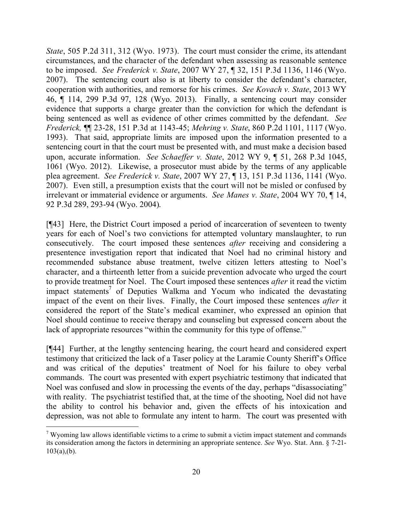*State*, 505 P.2d 311, 312 (Wyo. 1973). The court must consider the crime, its attendant circumstances, and the character of the defendant when assessing as reasonable sentence to be imposed. *See Frederick v. State*, 2007 WY 27, ¶ 32, 151 P.3d 1136, 1146 (Wyo. 2007). The sentencing court also is at liberty to consider the defendant's character, cooperation with authorities, and remorse for his crimes. *See Kovach v. State*, 2013 WY 46, ¶ 114, 299 P.3d 97, 128 (Wyo. 2013). Finally, a sentencing court may consider evidence that supports a charge greater than the conviction for which the defendant is being sentenced as well as evidence of other crimes committed by the defendant. *See Frederick,* ¶¶ 23-28, 151 P.3d at 1143-45; *Mehring v. State*, 860 P.2d 1101, 1117 (Wyo. 1993). That said, appropriate limits are imposed upon the information presented to a sentencing court in that the court must be presented with, and must make a decision based upon, accurate information. *See Schaeffer v. State*, 2012 WY 9, ¶ 51, 268 P.3d 1045, 1061 (Wyo. 2012). Likewise, a prosecutor must abide by the terms of any applicable plea agreement. *See Frederick v. State*, 2007 WY 27, ¶ 13, 151 P.3d 1136, 1141 (Wyo. 2007). Even still, a presumption exists that the court will not be misled or confused by irrelevant or immaterial evidence or arguments. *See Manes v. State*, 2004 WY 70, ¶ 14, 92 P.3d 289, 293-94 (Wyo. 2004).

[¶43] Here, the District Court imposed a period of incarceration of seventeen to twenty years for each of Noel's two convictions for attempted voluntary manslaughter, to run consecutively. The court imposed these sentences *after* receiving and considering a presentence investigation report that indicated that Noel had no criminal history and recommended substance abuse treatment, twelve citizen letters attesting to Noel's character, and a thirteenth letter from a suicide prevention advocate who urged the court to provide treatment for Noel. The Court imposed these sentences *after* it read the victim impact statements<sup>7</sup> of Deputies Walkma and Yocum who indicated the devastating impact of the event on their lives. Finally, the Court imposed these sentences *after* it considered the report of the State's medical examiner, who expressed an opinion that Noel should continue to receive therapy and counseling but expressed concern about the lack of appropriate resources "within the community for this type of offense."

[¶44] Further, at the lengthy sentencing hearing, the court heard and considered expert testimony that criticized the lack of a Taser policy at the Laramie County Sheriff's Office and was critical of the deputies' treatment of Noel for his failure to obey verbal commands. The court was presented with expert psychiatric testimony that indicated that Noel was confused and slow in processing the events of the day, perhaps "disassociating" with reality. The psychiatrist testified that, at the time of the shooting, Noel did not have the ability to control his behavior and, given the effects of his intoxication and depression, was not able to formulate any intent to harm. The court was presented with

 $7$  Wyoming law allows identifiable victims to a crime to submit a victim impact statement and commands its consideration among the factors in determining an appropriate sentence. *See* Wyo. Stat. Ann. § 7-21-  $103(a)$ , (b).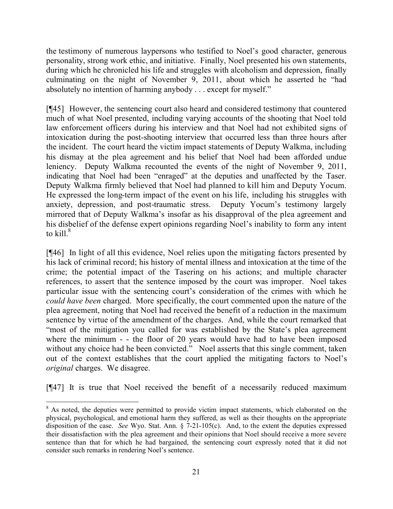the testimony of numerous laypersons who testified to Noel's good character, generous personality, strong work ethic, and initiative. Finally, Noel presented his own statements, during which he chronicled his life and struggles with alcoholism and depression, finally culminating on the night of November 9, 2011, about which he asserted he "had absolutely no intention of harming anybody . . . except for myself."

[¶45] However, the sentencing court also heard and considered testimony that countered much of what Noel presented, including varying accounts of the shooting that Noel told law enforcement officers during his interview and that Noel had not exhibited signs of intoxication during the post-shooting interview that occurred less than three hours after the incident. The court heard the victim impact statements of Deputy Walkma, including his dismay at the plea agreement and his belief that Noel had been afforded undue leniency. Deputy Walkma recounted the events of the night of November 9, 2011, indicating that Noel had been "enraged" at the deputies and unaffected by the Taser. Deputy Walkma firmly believed that Noel had planned to kill him and Deputy Yocum. He expressed the long-term impact of the event on his life, including his struggles with anxiety, depression, and post-traumatic stress. Deputy Yocum's testimony largely mirrored that of Deputy Walkma's insofar as his disapproval of the plea agreement and his disbelief of the defense expert opinions regarding Noel's inability to form any intent to kill. $^8$ 

[¶46] In light of all this evidence, Noel relies upon the mitigating factors presented by his lack of criminal record; his history of mental illness and intoxication at the time of the crime; the potential impact of the Tasering on his actions; and multiple character references, to assert that the sentence imposed by the court was improper. Noel takes particular issue with the sentencing court's consideration of the crimes with which he *could have been* charged. More specifically, the court commented upon the nature of the plea agreement, noting that Noel had received the benefit of a reduction in the maximum sentence by virtue of the amendment of the charges. And, while the court remarked that "most of the mitigation you called for was established by the State's plea agreement where the minimum - - the floor of 20 years would have had to have been imposed without any choice had he been convicted." Noel asserts that this single comment, taken out of the context establishes that the court applied the mitigating factors to Noel's *original* charges. We disagree.

[¶47] It is true that Noel received the benefit of a necessarily reduced maximum

 $\overline{a}$ <sup>8</sup> As noted, the deputies were permitted to provide victim impact statements, which elaborated on the physical, psychological, and emotional harm they suffered, as well as their thoughts on the appropriate disposition of the case. *See* Wyo. Stat. Ann. § 7-21-105(c). And, to the extent the deputies expressed their dissatisfaction with the plea agreement and their opinions that Noel should receive a more severe sentence than that for which he had bargained, the sentencing court expressly noted that it did not consider such remarks in rendering Noel's sentence.